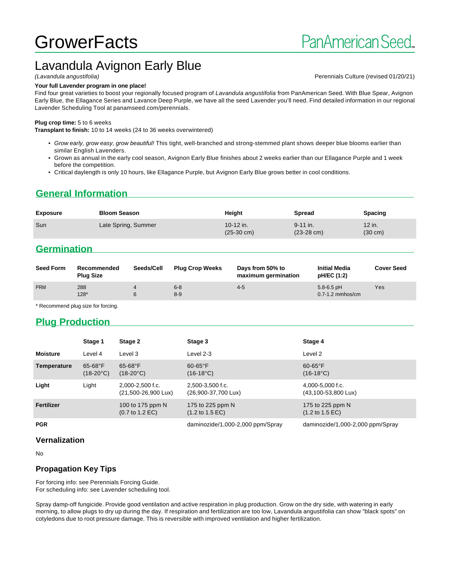# **GrowerFacts**

## Lavandula Avignon Early Blue

#### **Your full Lavender program in one place!**

Find four great varieties to boost your regionally focused program of Lavandula angustifolia from PanAmerican Seed. With Blue Spear, Avignon Early Blue, the Ellagance Series and Lavance Deep Purple, we have all the seed Lavender you'll need. Find detailed information in our regional Lavender Scheduling Tool at panamseed.com/perennials.

#### **Plug crop time:** 5 to 6 weeks

**Transplant to finish:** 10 to 14 weeks (24 to 36 weeks overwintered)

- Grow early, grow easy, grow beautiful! This tight, well-branched and strong-stemmed plant shows deeper blue blooms earlier than similar English Lavenders.
- Grown as annual in the early cool season, Avignon Early Blue finishes about 2 weeks earlier than our Ellagance Purple and 1 week before the competition.
- Critical daylength is only 10 hours, like Ellagance Purple, but Avignon Early Blue grows better in cool conditions.

## **General Information**

| <b>Exposure</b> | <b>Bloom Season</b> | Height                              | <b>Spread</b>                        | <b>Spacing</b>              |
|-----------------|---------------------|-------------------------------------|--------------------------------------|-----------------------------|
| Sun             | Late Spring, Summer | $10-12$ in.<br>$(25-30 \text{ cm})$ | $9 - 11$ in.<br>$(23-28 \text{ cm})$ | 12 in.<br>$(30 \text{ cm})$ |
|                 |                     |                                     |                                      |                             |

## **Germination**

| <b>Seed Form</b> | Recommended<br><b>Plug Size</b> | Seeds/Cell | <b>Plug Crop Weeks</b> | Days from 50% to<br>maximum germination | <b>Initial Media</b><br>pH/EC (1:2)    | <b>Cover Seed</b> |
|------------------|---------------------------------|------------|------------------------|-----------------------------------------|----------------------------------------|-------------------|
| <b>PRM</b>       | 288<br>$128*$                   |            | $6 - 8$<br>$8 - 9$     | $4 - 5$                                 | $5.8 - 6.5$ pH<br>$0.7 - 1.2$ mmhos/cm | Yes               |

\* Recommend plug size for forcing.

## **Plug Production**

|                 | Stage 1                            | Stage 2                                                | Stage 3                                                | Stage 4                                                |
|-----------------|------------------------------------|--------------------------------------------------------|--------------------------------------------------------|--------------------------------------------------------|
| <b>Moisture</b> | Level 4                            | Level 3                                                | Level 2-3                                              | Level 2                                                |
| Temperature     | $65 - 68$ °F<br>$(18-20^{\circ}C)$ | $65-68$ °F<br>$(18-20^{\circ}C)$                       | $60-65$ °F<br>$(16-18^{\circ}C)$                       | $60-65$ °F<br>$(16-18^{\circ}C)$                       |
| Light           | Light                              | 2,000-2,500 f.c.<br>(21,500-26,900 Lux)                | 2,500-3,500 f.c.<br>(26,900-37,700 Lux)                | 4,000-5,000 f.c.<br>(43,100-53,800 Lux)                |
| Fertilizer      |                                    | 100 to 175 ppm N<br>$(0.7 \text{ to } 1.2 \text{ EC})$ | 175 to 225 ppm N<br>$(1.2 \text{ to } 1.5 \text{ EC})$ | 175 to 225 ppm N<br>$(1.2 \text{ to } 1.5 \text{ EC})$ |
| <b>PGR</b>      |                                    |                                                        | daminozide/1,000-2,000 ppm/Spray                       | daminozide/1,000-2,000 ppm/Spray                       |

#### **Vernalization**

No

#### **Propagation Key Tips**

For forcing info: see Perennials Forcing Guide. For scheduling info: see Lavender scheduling tool.

Spray damp-off fungicide. Provide good ventilation and active respiration in plug production. Grow on the dry side, with watering in early morning, to allow plugs to dry up during the day. If respiration and fertilization are too low, Lavandula angustifolia can show "black spots" on cotyledons due to root pressure damage. This is reversible with improved ventilation and higher fertilization.

(Lavandula angustifolia) Perennials Culture (revised 01/20/21)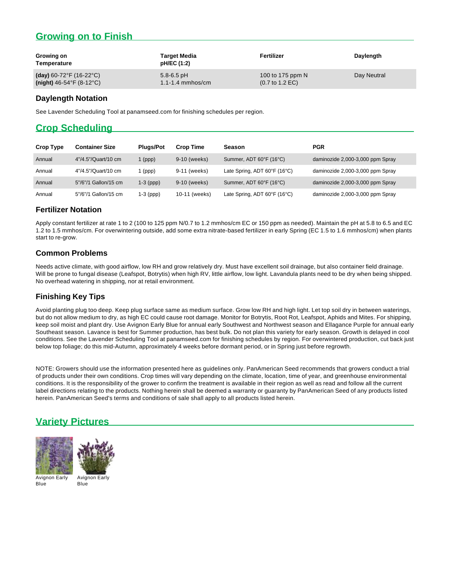## **Growing on to Finish**

| Growing on<br>Temperature                  | <b>Target Media</b><br>pH/EC (1:2) | Fertilizer                         | Daylength   |
|--------------------------------------------|------------------------------------|------------------------------------|-------------|
| (day) $60 - 72^{\circ}F(16 - 22^{\circ}C)$ | $5.8 - 6.5$ pH                     | 100 to 175 ppm N                   | Day Neutral |
| $(night)$ 46-54°F (8-12°C)                 | $1.1 - 1.4$ mmhos/cm               | $(0.7 \text{ to } 1.2 \text{ EC})$ |             |

#### **Daylength Notation**

See Lavender Scheduling Tool at panamseed.com for finishing schedules per region.

## **Crop Scheduling**

| <b>Crop Type</b> | <b>Container Size</b> | <b>Pluas/Pot</b> | <b>Crop Time</b> | <b>Season</b>                | <b>PGR</b>                       |
|------------------|-----------------------|------------------|------------------|------------------------------|----------------------------------|
| Annual           | 4"/4.5"/Quart/10 cm   | $1$ (ppp)        | 9-10 (weeks)     | Summer, ADT 60°F (16°C)      | daminozide 2,000-3,000 ppm Spray |
| Annual           | 4"/4.5"/Quart/10 cm   | (ppp)            | 9-11 (weeks)     | Late Spring, ADT 60°F (16°C) | daminozide 2,000-3,000 ppm Spray |
| Annual           | 5"/6"/1 Gallon/15 cm  | $1-3$ (ppp)      | 9-10 (weeks)     | Summer, ADT 60°F (16°C)      | daminozide 2,000-3,000 ppm Spray |
| Annual           | 5"/6"/1 Gallon/15 cm  | $1-3$ (ppp)      | 10-11 (weeks)    | Late Spring, ADT 60°F (16°C) | daminozide 2,000-3,000 ppm Spray |

#### **Fertilizer Notation**

Apply constant fertilizer at rate 1 to 2 (100 to 125 ppm N/0.7 to 1.2 mmhos/cm EC or 150 ppm as needed). Maintain the pH at 5.8 to 6.5 and EC 1.2 to 1.5 mmhos/cm. For overwintering outside, add some extra nitrate-based fertilizer in early Spring (EC 1.5 to 1.6 mmhos/cm) when plants start to re-grow.

### **Common Problems**

Needs active climate, with good airflow, low RH and grow relatively dry. Must have excellent soil drainage, but also container field drainage. Will be prone to fungal disease (Leafspot, Botrytis) when high RV, little airflow, low light. Lavandula plants need to be dry when being shipped. No overhead watering in shipping, nor at retail environment.

### **Finishing Key Tips**

Avoid planting plug too deep. Keep plug surface same as medium surface. Grow low RH and high light. Let top soil dry in between waterings, but do not allow medium to dry, as high EC could cause root damage. Monitor for Botrytis, Root Rot, Leafspot, Aphids and Mites. For shipping, keep soil moist and plant dry. Use Avignon Early Blue for annual early Southwest and Northwest season and Ellagance Purple for annual early Southeast season. Lavance is best for Summer production, has best bulk. Do not plan this variety for early season. Growth is delayed in cool conditions. See the Lavender Scheduling Tool at panamseed.com for finishing schedules by region. For overwintered production, cut back just below top foliage; do this mid-Autumn, approximately 4 weeks before dormant period, or in Spring just before regrowth.

NOTE: Growers should use the information presented here as guidelines only. PanAmerican Seed recommends that growers conduct a trial of products under their own conditions. Crop times will vary depending on the climate, location, time of year, and greenhouse environmental conditions. It is the responsibility of the grower to confirm the treatment is available in their region as well as read and follow all the current label directions relating to the products. Nothing herein shall be deemed a warranty or guaranty by PanAmerican Seed of any products listed herein. PanAmerican Seed's terms and conditions of sale shall apply to all products listed herein.

## **Variety Pictures**





Avignon Early Blue

Avignon Early Blue